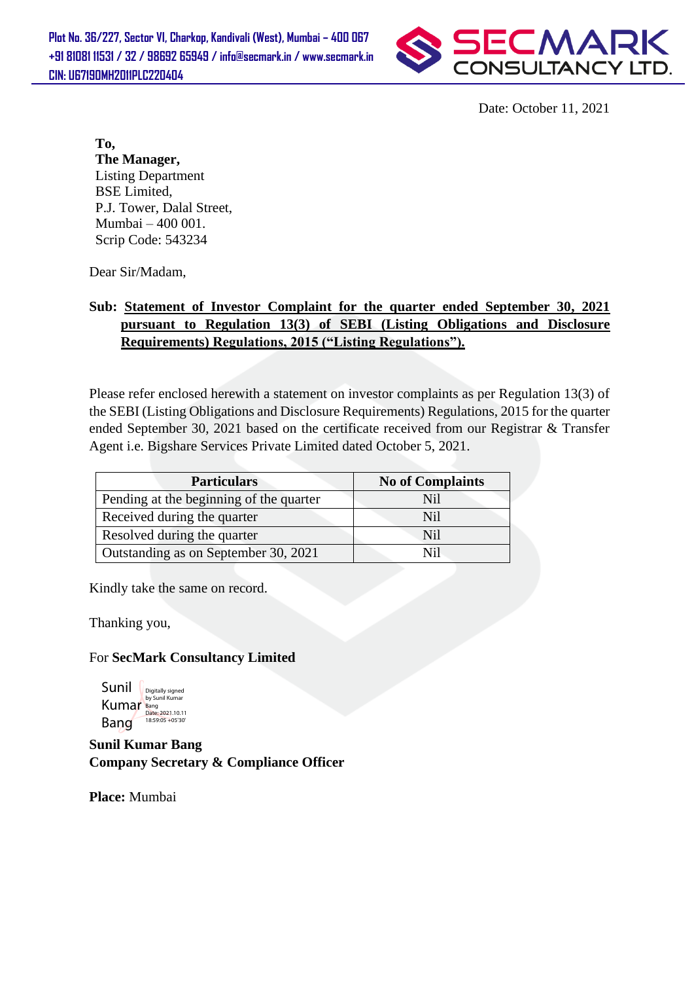

Date: October 11, 2021

**To, The Manager,** Listing Department BSE Limited, P.J. Tower, Dalal Street, Mumbai – 400 001. Scrip Code: 543234

Dear Sir/Madam,

## **Sub: Statement of Investor Complaint for the quarter ended September 30, 2021 pursuant to Regulation 13(3) of SEBI (Listing Obligations and Disclosure Requirements) Regulations, 2015 ("Listing Regulations").**

Please refer enclosed herewith a statement on investor complaints as per Regulation 13(3) of the SEBI (Listing Obligations and Disclosure Requirements) Regulations, 2015 for the quarter ended September 30, 2021 based on the certificate received from our Registrar & Transfer Agent i.e. Bigshare Services Private Limited dated October 5, 2021.

| <b>Particulars</b>                      | <b>No of Complaints</b> |  |
|-----------------------------------------|-------------------------|--|
| Pending at the beginning of the quarter | Nil                     |  |
| Received during the quarter             | Nil                     |  |
| Resolved during the quarter             | Nil                     |  |
| Outstanding as on September 30, 2021    | Nil                     |  |

Kindly take the same on record.

Thanking you,

## For **SecMark Consultancy Limited**

Sunil Kumar Bang Digitally signed by Sunil Kumar Bang Date: 2021.10.11 Bang<br>Date: 2021.10.11<br>18:59:05 +05'30'

**Sunil Kumar Bang Company Secretary & Compliance Officer**

**Place:** Mumbai